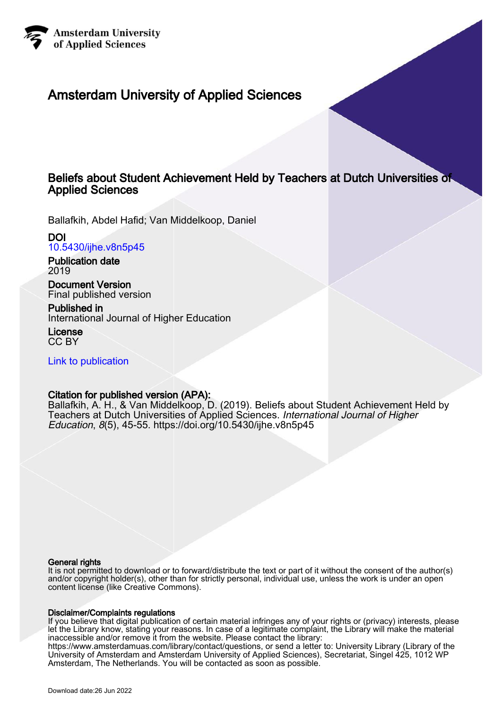

# Amsterdam University of Applied Sciences

# Beliefs about Student Achievement Held by Teachers at Dutch Universities of Applied Sciences

Ballafkih, Abdel Hafid; Van Middelkoop, Daniel

DOI

[10.5430/ijhe.v8n5p45](https://doi.org/10.5430/ijhe.v8n5p45)

Publication date 2019

Document Version Final published version

Published in International Journal of Higher Education

License CC BY

[Link to publication](https://research.hva.nl/en/publications/61c9c313-8610-45db-8c20-3a1c6535d877)

# Citation for published version (APA):

Ballafkih, A. H., & Van Middelkoop, D. (2019). Beliefs about Student Achievement Held by Teachers at Dutch Universities of Applied Sciences. International Journal of Higher Education, 8(5), 45-55.<https://doi.org/10.5430/ijhe.v8n5p45>

# General rights

It is not permitted to download or to forward/distribute the text or part of it without the consent of the author(s) and/or copyright holder(s), other than for strictly personal, individual use, unless the work is under an open content license (like Creative Commons).

# Disclaimer/Complaints regulations

If you believe that digital publication of certain material infringes any of your rights or (privacy) interests, please let the Library know, stating your reasons. In case of a legitimate complaint, the Library will make the material inaccessible and/or remove it from the website. Please contact the library:

https://www.amsterdamuas.com/library/contact/questions, or send a letter to: University Library (Library of the University of Amsterdam and Amsterdam University of Applied Sciences), Secretariat, Singel 425, 1012 WP Amsterdam, The Netherlands. You will be contacted as soon as possible.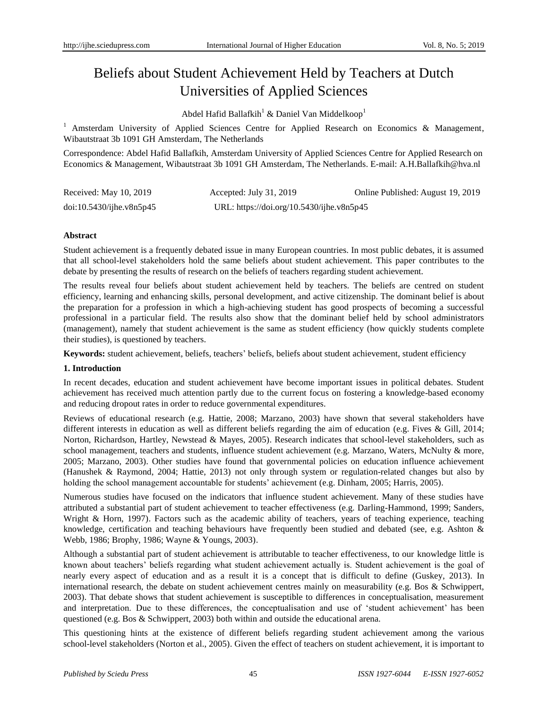# Beliefs about Student Achievement Held by Teachers at Dutch Universities of Applied Sciences

Abdel Hafid Ballafkih<sup>1</sup> & Daniel Van Middelkoop<sup>1</sup>

<sup>1</sup> Amsterdam University of Applied Sciences Centre for Applied Research on Economics & Management, Wibautstraat 3b 1091 GH Amsterdam, The Netherlands

Correspondence: Abdel Hafid Ballafkih, Amsterdam University of Applied Sciences Centre for Applied Research on Economics & Management, Wibautstraat 3b 1091 GH Amsterdam, The Netherlands. E-mail: A.H.Ballafkih@hva.nl

| Received: May 10, 2019   | Accepted: July $31, 2019$                 | Online Published: August 19, 2019 |
|--------------------------|-------------------------------------------|-----------------------------------|
| doi:10.5430/ijhe.v8n5p45 | URL: https://doi.org/10.5430/ijhe.v8n5p45 |                                   |

# **Abstract**

Student achievement is a frequently debated issue in many European countries. In most public debates, it is assumed that all school-level stakeholders hold the same beliefs about student achievement. This paper contributes to the debate by presenting the results of research on the beliefs of teachers regarding student achievement.

The results reveal four beliefs about student achievement held by teachers. The beliefs are centred on student efficiency, learning and enhancing skills, personal development, and active citizenship. The dominant belief is about the preparation for a profession in which a high-achieving student has good prospects of becoming a successful professional in a particular field. The results also show that the dominant belief held by school administrators (management), namely that student achievement is the same as student efficiency (how quickly students complete their studies), is questioned by teachers.

**Keywords:** student achievement, beliefs, teachers' beliefs, beliefs about student achievement, student efficiency

# **1. Introduction**

In recent decades, education and student achievement have become important issues in political debates. Student achievement has received much attention partly due to the current focus on fostering a knowledge-based economy and reducing dropout rates in order to reduce governmental expenditures.

Reviews of educational research (e.g. Hattie, 2008; Marzano, 2003) have shown that several stakeholders have different interests in education as well as different beliefs regarding the aim of education (e.g. Fives & Gill, 2014; Norton, Richardson, Hartley, Newstead & Mayes, 2005). Research indicates that school-level stakeholders, such as school management, teachers and students, influence student achievement (e.g. Marzano, Waters, McNulty & more, 2005; Marzano, 2003). Other studies have found that governmental policies on education influence achievement (Hanushek & Raymond, 2004; Hattie, 2013) not only through system or regulation-related changes but also by holding the school management accountable for students' achievement (e.g. Dinham, 2005; Harris, 2005).

Numerous studies have focused on the indicators that influence student achievement. Many of these studies have attributed a substantial part of student achievement to teacher effectiveness (e.g. Darling-Hammond, 1999; Sanders, Wright & Horn, 1997). Factors such as the academic ability of teachers, years of teaching experience, teaching knowledge, certification and teaching behaviours have frequently been studied and debated (see, e.g. Ashton & Webb, 1986; Brophy, 1986; Wayne & Youngs, 2003).

Although a substantial part of student achievement is attributable to teacher effectiveness, to our knowledge little is known about teachers' beliefs regarding what student achievement actually is. Student achievement is the goal of nearly every aspect of education and as a result it is a concept that is difficult to define (Guskey, 2013). In international research, the debate on student achievement centres mainly on measurability (e.g. Bos & Schwippert, 2003). That debate shows that student achievement is susceptible to differences in conceptualisation, measurement and interpretation. Due to these differences, the conceptualisation and use of 'student achievement' has been questioned (e.g. Bos & Schwippert, 2003) both within and outside the educational arena.

This questioning hints at the existence of different beliefs regarding student achievement among the various school-level stakeholders (Norton et al., 2005). Given the effect of teachers on student achievement, it is important to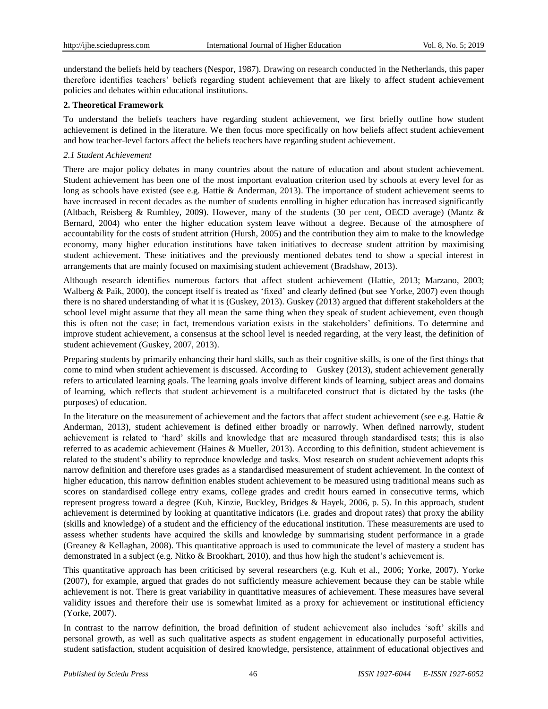understand the beliefs held by teachers (Nespor, 1987). Drawing on research conducted in the Netherlands, this paper therefore identifies teachers' beliefs regarding student achievement that are likely to affect student achievement policies and debates within educational institutions.

#### **2. Theoretical Framework**

To understand the beliefs teachers have regarding student achievement, we first briefly outline how student achievement is defined in the literature. We then focus more specifically on how beliefs affect student achievement and how teacher-level factors affect the beliefs teachers have regarding student achievement.

#### *2.1 Student Achievement*

There are major policy debates in many countries about the nature of education and about student achievement. Student achievement has been one of the most important evaluation criterion used by schools at every level for as long as schools have existed (see e.g. Hattie & Anderman, 2013). The importance of student achievement seems to have increased in recent decades as the number of students enrolling in higher education has increased significantly (Altbach, Reisberg & Rumbley, 2009). However, many of the students (30 per cent, OECD average) (Mantz & Bernard, 2004) who enter the higher education system leave without a degree. Because of the atmosphere of accountability for the costs of student attrition (Hursh, 2005) and the contribution they aim to make to the knowledge economy, many higher education institutions have taken initiatives to decrease student attrition by maximising student achievement. These initiatives and the previously mentioned debates tend to show a special interest in arrangements that are mainly focused on maximising student achievement (Bradshaw, 2013).

Although research identifies numerous factors that affect student achievement (Hattie, 2013; Marzano, 2003; Walberg & Paik, 2000), the concept itself is treated as 'fixed' and clearly defined (but see Yorke, 2007) even though there is no shared understanding of what it is (Guskey, 2013). Guskey (2013) argued that different stakeholders at the school level might assume that they all mean the same thing when they speak of student achievement, even though this is often not the case; in fact, tremendous variation exists in the stakeholders' definitions. To determine and improve student achievement, a consensus at the school level is needed regarding, at the very least, the definition of student achievement (Guskey, 2007, 2013).

Preparing students by primarily enhancing their hard skills, such as their cognitive skills, is one of the first things that come to mind when student achievement is discussed. According to Guskey (2013), student achievement generally refers to articulated learning goals. The learning goals involve different kinds of learning, subject areas and domains of learning, which reflects that student achievement is a multifaceted construct that is dictated by the tasks (the purposes) of education.

In the literature on the measurement of achievement and the factors that affect student achievement (see e.g. Hattie & Anderman, 2013), student achievement is defined either broadly or narrowly. When defined narrowly, student achievement is related to 'hard' skills and knowledge that are measured through standardised tests; this is also referred to as academic achievement (Haines & Mueller, 2013). According to this definition, student achievement is related to the student's ability to reproduce knowledge and tasks. Most research on student achievement adopts this narrow definition and therefore uses grades as a standardised measurement of student achievement. In the context of higher education, this narrow definition enables student achievement to be measured using traditional means such as scores on standardised college entry exams, college grades and credit hours earned in consecutive terms, which represent progress toward a degree (Kuh, Kinzie, Buckley, Bridges & Hayek, 2006, p. 5). In this approach, student achievement is determined by looking at quantitative indicators (i.e. grades and dropout rates) that proxy the ability (skills and knowledge) of a student and the efficiency of the educational institution. These measurements are used to assess whether students have acquired the skills and knowledge by summarising student performance in a grade (Greaney & Kellaghan, 2008). This quantitative approach is used to communicate the level of mastery a student has demonstrated in a subject (e.g. Nitko & Brookhart, 2010), and thus how high the student's achievement is.

This quantitative approach has been criticised by several researchers (e.g. Kuh et al., 2006; Yorke, 2007). Yorke (2007), for example, argued that grades do not sufficiently measure achievement because they can be stable while achievement is not. There is great variability in quantitative measures of achievement. These measures have several validity issues and therefore their use is somewhat limited as a proxy for achievement or institutional efficiency (Yorke, 2007).

In contrast to the narrow definition, the broad definition of student achievement also includes 'soft' skills and personal growth, as well as such qualitative aspects as student engagement in educationally purposeful activities, student satisfaction, student acquisition of desired knowledge, persistence, attainment of educational objectives and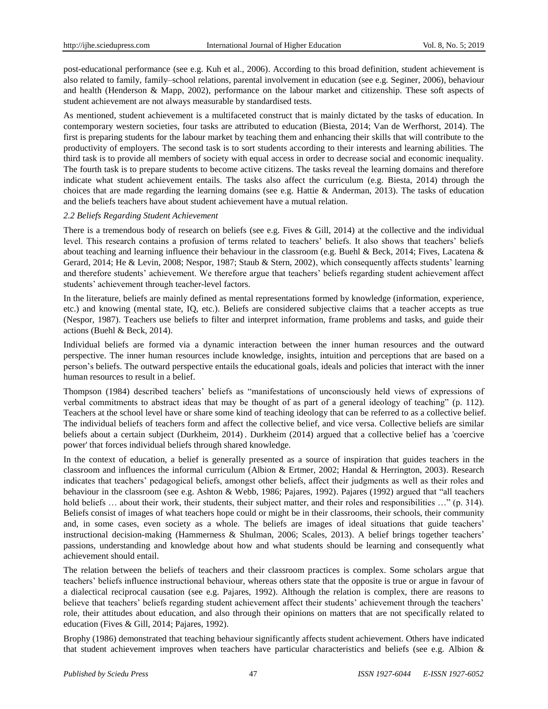post-educational performance (see e.g. Kuh et al., 2006). According to this broad definition, student achievement is also related to family, family–school relations, parental involvement in education (see e.g. Seginer, 2006), behaviour and health (Henderson & Mapp, 2002), performance on the labour market and citizenship. These soft aspects of student achievement are not always measurable by standardised tests.

As mentioned, student achievement is a multifaceted construct that is mainly dictated by the tasks of education. In contemporary western societies, four tasks are attributed to education (Biesta, 2014; Van de Werfhorst, 2014). The first is preparing students for the labour market by teaching them and enhancing their skills that will contribute to the productivity of employers. The second task is to sort students according to their interests and learning abilities. The third task is to provide all members of society with equal access in order to decrease social and economic inequality. The fourth task is to prepare students to become active citizens. The tasks reveal the learning domains and therefore indicate what student achievement entails. The tasks also affect the curriculum (e.g. Biesta, 2014) through the choices that are made regarding the learning domains (see e.g. Hattie & Anderman, 2013). The tasks of education and the beliefs teachers have about student achievement have a mutual relation.

#### *2.2 Beliefs Regarding Student Achievement*

There is a tremendous body of research on beliefs (see e.g. Fives & Gill, 2014) at the collective and the individual level. This research contains a profusion of terms related to teachers' beliefs. It also shows that teachers' beliefs about teaching and learning influence their behaviour in the classroom (e.g. Buehl & Beck, 2014; Fives, Lacatena & Gerard, 2014; He & Levin, 2008; Nespor, 1987; Staub & Stern, 2002), which consequently affects students' learning and therefore students' achievement. We therefore argue that teachers' beliefs regarding student achievement affect students' achievement through teacher-level factors.

In the literature, beliefs are mainly defined as mental representations formed by knowledge (information, experience, etc.) and knowing (mental state, IQ, etc.). Beliefs are considered subjective claims that a teacher accepts as true (Nespor, 1987). Teachers use beliefs to filter and interpret information, frame problems and tasks, and guide their actions (Buehl & Beck, 2014).

Individual beliefs are formed via a dynamic interaction between the inner human resources and the outward perspective. The inner human resources include knowledge, insights, intuition and perceptions that are based on a person's beliefs. The outward perspective entails the educational goals, ideals and policies that interact with the inner human resources to result in a belief.

Thompson (1984) described teachers' beliefs as "manifestations of unconsciously held views of expressions of verbal commitments to abstract ideas that may be thought of as part of a general ideology of teaching" (p. 112). Teachers at the school level have or share some kind of teaching ideology that can be referred to as a collective belief. The individual beliefs of teachers form and affect the collective belief, and vice versa. Collective beliefs are similar beliefs about a certain subject (Durkheim, 2014) . Durkheim (2014) argued that a collective belief has a 'coercive power' that forces individual beliefs through shared knowledge.

In the context of education, a belief is generally presented as a source of inspiration that guides teachers in the classroom and influences the informal curriculum (Albion & Ertmer, 2002; Handal & Herrington, 2003). Research indicates that teachers' pedagogical beliefs, amongst other beliefs, affect their judgments as well as their roles and behaviour in the classroom (see e.g. Ashton & Webb, 1986; Pajares, 1992). Pajares (1992) argued that "all teachers hold beliefs ... about their work, their students, their subject matter, and their roles and responsibilities ..." (p. 314). Beliefs consist of images of what teachers hope could or might be in their classrooms, their schools, their community and, in some cases, even society as a whole. The beliefs are images of ideal situations that guide teachers' instructional decision-making (Hammerness & Shulman, 2006; Scales, 2013). A belief brings together teachers' passions, understanding and knowledge about how and what students should be learning and consequently what achievement should entail.

The relation between the beliefs of teachers and their classroom practices is complex. Some scholars argue that teachers' beliefs influence instructional behaviour, whereas others state that the opposite is true or argue in favour of a dialectical reciprocal causation (see e.g. Pajares, 1992). Although the relation is complex, there are reasons to believe that teachers' beliefs regarding student achievement affect their students' achievement through the teachers' role, their attitudes about education, and also through their opinions on matters that are not specifically related to education (Fives & Gill, 2014; Pajares, 1992).

Brophy (1986) demonstrated that teaching behaviour significantly affects student achievement. Others have indicated that student achievement improves when teachers have particular characteristics and beliefs (see e.g. Albion &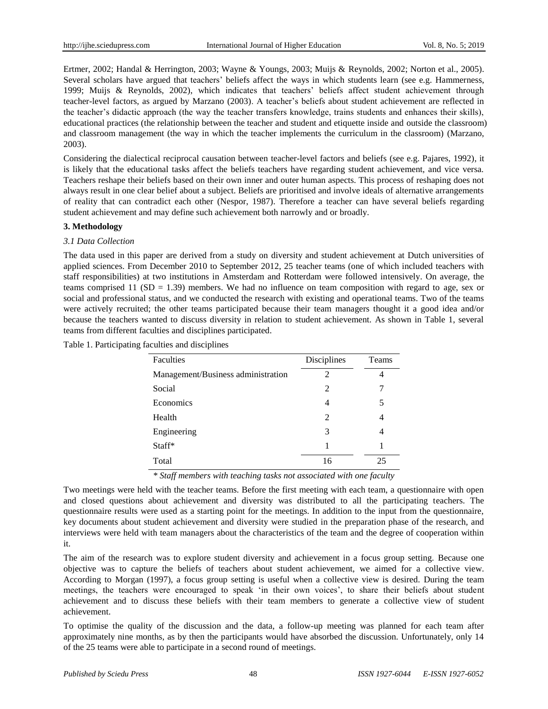Ertmer, 2002; Handal & Herrington, 2003; Wayne & Youngs, 2003; Muijs & Reynolds, 2002; Norton et al., 2005). Several scholars have argued that teachers' beliefs affect the ways in which students learn (see e.g. Hammerness, 1999; Muijs & Reynolds, 2002), which indicates that teachers' beliefs affect student achievement through teacher-level factors, as argued by Marzano (2003). A teacher's beliefs about student achievement are reflected in the teacher's didactic approach (the way the teacher transfers knowledge, trains students and enhances their skills), educational practices (the relationship between the teacher and student and etiquette inside and outside the classroom) and classroom management (the way in which the teacher implements the curriculum in the classroom) (Marzano, 2003).

Considering the dialectical reciprocal causation between teacher-level factors and beliefs (see e.g. Pajares, 1992), it is likely that the educational tasks affect the beliefs teachers have regarding student achievement, and vice versa. Teachers reshape their beliefs based on their own inner and outer human aspects. This process of reshaping does not always result in one clear belief about a subject. Beliefs are prioritised and involve ideals of alternative arrangements of reality that can contradict each other (Nespor, 1987). Therefore a teacher can have several beliefs regarding student achievement and may define such achievement both narrowly and or broadly.

#### **3. Methodology**

#### *3.1 Data Collection*

The data used in this paper are derived from a study on diversity and student achievement at Dutch universities of applied sciences. From December 2010 to September 2012, 25 teacher teams (one of which included teachers with staff responsibilities) at two institutions in Amsterdam and Rotterdam were followed intensively. On average, the teams comprised 11 ( $SD = 1.39$ ) members. We had no influence on team composition with regard to age, sex or social and professional status, and we conducted the research with existing and operational teams. Two of the teams were actively recruited; the other teams participated because their team managers thought it a good idea and/or because the teachers wanted to discuss diversity in relation to student achievement. As shown in Table 1, several teams from different faculties and disciplines participated.

Table 1. Participating faculties and disciplines

| <b>Faculties</b>                   | Disciplines                 | Teams |
|------------------------------------|-----------------------------|-------|
| Management/Business administration | $\mathfrak{D}$              |       |
| Social                             | 2                           |       |
| Economics                          | 4                           | 5     |
| Health                             | $\mathcal{D}_{\mathcal{L}}$ | 4     |
| Engineering                        | 3                           | 4     |
| Staff*                             |                             |       |
| Total                              | 16                          | 25    |

*\* Staff members with teaching tasks not associated with one faculty*

Two meetings were held with the teacher teams. Before the first meeting with each team, a questionnaire with open and closed questions about achievement and diversity was distributed to all the participating teachers. The questionnaire results were used as a starting point for the meetings. In addition to the input from the questionnaire, key documents about student achievement and diversity were studied in the preparation phase of the research, and interviews were held with team managers about the characteristics of the team and the degree of cooperation within it.

The aim of the research was to explore student diversity and achievement in a focus group setting. Because one objective was to capture the beliefs of teachers about student achievement, we aimed for a collective view. According to Morgan (1997), a focus group setting is useful when a collective view is desired. During the team meetings, the teachers were encouraged to speak 'in their own voices', to share their beliefs about student achievement and to discuss these beliefs with their team members to generate a collective view of student achievement.

To optimise the quality of the discussion and the data, a follow-up meeting was planned for each team after approximately nine months, as by then the participants would have absorbed the discussion. Unfortunately, only 14 of the 25 teams were able to participate in a second round of meetings.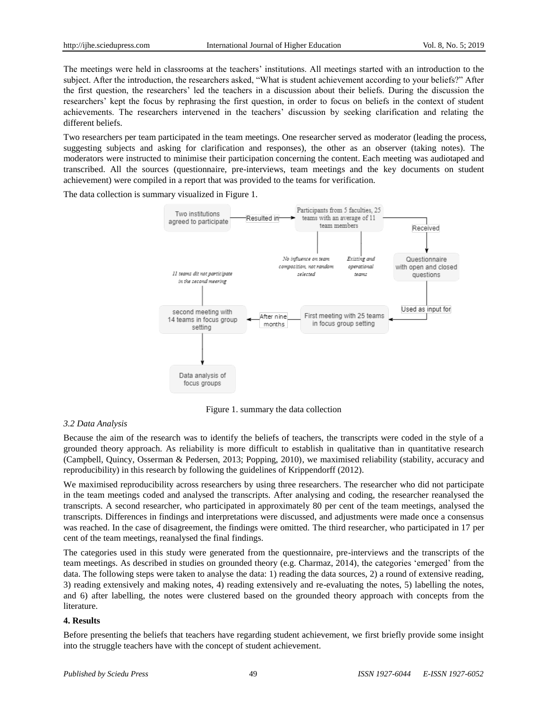The meetings were held in classrooms at the teachers' institutions. All meetings started with an introduction to the subject. After the introduction, the researchers asked, "What is student achievement according to your beliefs?" After the first question, the researchers' led the teachers in a discussion about their beliefs. During the discussion the researchers' kept the focus by rephrasing the first question, in order to focus on beliefs in the context of student achievements. The researchers intervened in the teachers' discussion by seeking clarification and relating the different beliefs.

Two researchers per team participated in the team meetings. One researcher served as moderator (leading the process, suggesting subjects and asking for clarification and responses), the other as an observer (taking notes). The moderators were instructed to minimise their participation concerning the content. Each meeting was audiotaped and transcribed. All the sources (questionnaire, pre-interviews, team meetings and the key documents on student achievement) were compiled in a report that was provided to the teams for verification.

The data collection is summary visualized in Figure 1.



Figure 1. summary the data collection

# *3.2 Data Analysis*

Because the aim of the research was to identify the beliefs of teachers, the transcripts were coded in the style of a grounded theory approach. As reliability is more difficult to establish in qualitative than in quantitative research (Campbell, Quincy, Osserman & Pedersen, 2013; Popping, 2010), we maximised reliability (stability, accuracy and reproducibility) in this research by following the guidelines of Krippendorff (2012).

We maximised reproducibility across researchers by using three researchers. The researcher who did not participate in the team meetings coded and analysed the transcripts. After analysing and coding, the researcher reanalysed the transcripts. A second researcher, who participated in approximately 80 per cent of the team meetings, analysed the transcripts. Differences in findings and interpretations were discussed, and adjustments were made once a consensus was reached. In the case of disagreement, the findings were omitted. The third researcher, who participated in 17 per cent of the team meetings, reanalysed the final findings.

The categories used in this study were generated from the questionnaire, pre-interviews and the transcripts of the team meetings. As described in studies on grounded theory (e.g. Charmaz, 2014), the categories 'emerged' from the data. The following steps were taken to analyse the data: 1) reading the data sources, 2) a round of extensive reading, 3) reading extensively and making notes, 4) reading extensively and re-evaluating the notes, 5) labelling the notes, and 6) after labelling, the notes were clustered based on the grounded theory approach with concepts from the literature.

# **4. Results**

Before presenting the beliefs that teachers have regarding student achievement, we first briefly provide some insight into the struggle teachers have with the concept of student achievement.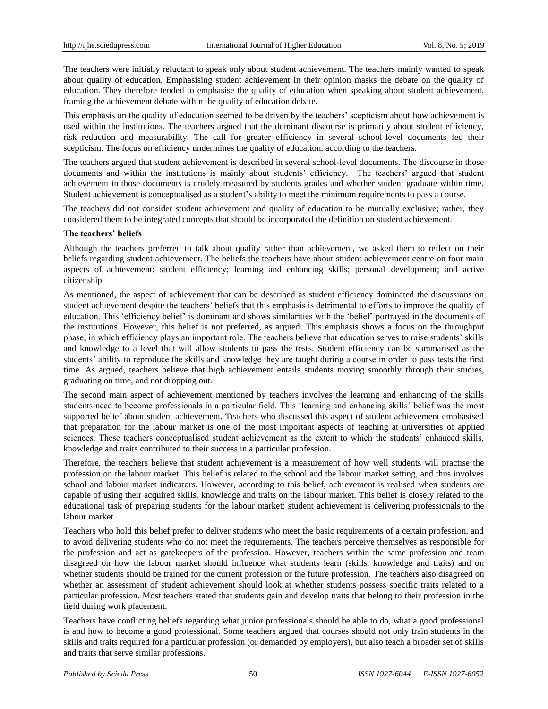The teachers were initially reluctant to speak only about student achievement. The teachers mainly wanted to speak about quality of education. Emphasising student achievement in their opinion masks the debate on the quality of education. They therefore tended to emphasise the quality of education when speaking about student achievement, framing the achievement debate within the quality of education debate.

This emphasis on the quality of education seemed to be driven by the teachers' scepticism about how achievement is used within the institutions. The teachers argued that the dominant discourse is primarily about student efficiency, risk reduction and measurability. The call for greater efficiency in several school-level documents fed their scepticism. The focus on efficiency undermines the quality of education, according to the teachers.

The teachers argued that student achievement is described in several school-level documents. The discourse in those documents and within the institutions is mainly about students' efficiency. The teachers' argued that student achievement in those documents is crudely measured by students grades and whether student graduate within time. Student achievement is conceptualised as a student's ability to meet the minimum requirements to pass a course.

The teachers did not consider student achievement and quality of education to be mutually exclusive; rather, they considered them to be integrated concepts that should be incorporated the definition on student achievement.

#### **The teachers' beliefs**

Although the teachers preferred to talk about quality rather than achievement, we asked them to reflect on their beliefs regarding student achievement. The beliefs the teachers have about student achievement centre on four main aspects of achievement: student efficiency; learning and enhancing skills; personal development; and active citizenship

As mentioned, the aspect of achievement that can be described as student efficiency dominated the discussions on student achievement despite the teachers' beliefs that this emphasis is detrimental to efforts to improve the quality of education. This 'efficiency belief' is dominant and shows similarities with the 'belief' portrayed in the documents of the institutions. However, this belief is not preferred, as argued. This emphasis shows a focus on the throughput phase, in which efficiency plays an important role. The teachers believe that education serves to raise students' skills and knowledge to a level that will allow students to pass the tests. Student efficiency can be summarised as the students' ability to reproduce the skills and knowledge they are taught during a course in order to pass tests the first time. As argued, teachers believe that high achievement entails students moving smoothly through their studies, graduating on time, and not dropping out.

The second main aspect of achievement mentioned by teachers involves the learning and enhancing of the skills students need to become professionals in a particular field. This 'learning and enhancing skills' belief was the most supported belief about student achievement. Teachers who discussed this aspect of student achievement emphasised that preparation for the labour market is one of the most important aspects of teaching at universities of applied sciences. These teachers conceptualised student achievement as the extent to which the students' enhanced skills, knowledge and traits contributed to their success in a particular profession.

Therefore, the teachers believe that student achievement is a measurement of how well students will practise the profession on the labour market. This belief is related to the school and the labour market setting, and thus involves school and labour market indicators. However, according to this belief, achievement is realised when students are capable of using their acquired skills, knowledge and traits on the labour market. This belief is closely related to the educational task of preparing students for the labour market: student achievement is delivering professionals to the labour market.

Teachers who hold this belief prefer to deliver students who meet the basic requirements of a certain profession, and to avoid delivering students who do not meet the requirements. The teachers perceive themselves as responsible for the profession and act as gatekeepers of the profession. However, teachers within the same profession and team disagreed on how the labour market should influence what students learn (skills, knowledge and traits) and on whether students should be trained for the current profession or the future profession. The teachers also disagreed on whether an assessment of student achievement should look at whether students possess specific traits related to a particular profession. Most teachers stated that students gain and develop traits that belong to their profession in the field during work placement.

Teachers have conflicting beliefs regarding what junior professionals should be able to do, what a good professional is and how to become a good professional. Some teachers argued that courses should not only train students in the skills and traits required for a particular profession (or demanded by employers), but also teach a broader set of skills and traits that serve similar professions.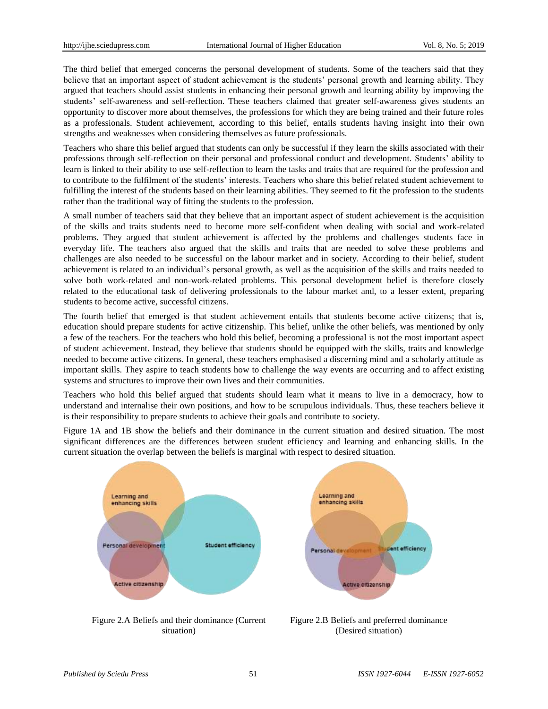The third belief that emerged concerns the personal development of students. Some of the teachers said that they believe that an important aspect of student achievement is the students' personal growth and learning ability. They argued that teachers should assist students in enhancing their personal growth and learning ability by improving the students' self-awareness and self-reflection. These teachers claimed that greater self-awareness gives students an opportunity to discover more about themselves, the professions for which they are being trained and their future roles as a professionals. Student achievement, according to this belief, entails students having insight into their own strengths and weaknesses when considering themselves as future professionals.

Teachers who share this belief argued that students can only be successful if they learn the skills associated with their professions through self-reflection on their personal and professional conduct and development. Students' ability to learn is linked to their ability to use self-reflection to learn the tasks and traits that are required for the profession and to contribute to the fulfilment of the students' interests. Teachers who share this belief related student achievement to fulfilling the interest of the students based on their learning abilities. They seemed to fit the profession to the students rather than the traditional way of fitting the students to the profession.

A small number of teachers said that they believe that an important aspect of student achievement is the acquisition of the skills and traits students need to become more self-confident when dealing with social and work-related problems. They argued that student achievement is affected by the problems and challenges students face in everyday life. The teachers also argued that the skills and traits that are needed to solve these problems and challenges are also needed to be successful on the labour market and in society. According to their belief, student achievement is related to an individual's personal growth, as well as the acquisition of the skills and traits needed to solve both work-related and non-work-related problems. This personal development belief is therefore closely related to the educational task of delivering professionals to the labour market and, to a lesser extent, preparing students to become active, successful citizens.

The fourth belief that emerged is that student achievement entails that students become active citizens; that is, education should prepare students for active citizenship. This belief, unlike the other beliefs, was mentioned by only a few of the teachers. For the teachers who hold this belief, becoming a professional is not the most important aspect of student achievement. Instead, they believe that students should be equipped with the skills, traits and knowledge needed to become active citizens. In general, these teachers emphasised a discerning mind and a scholarly attitude as important skills. They aspire to teach students how to challenge the way events are occurring and to affect existing systems and structures to improve their own lives and their communities.

Teachers who hold this belief argued that students should learn what it means to live in a democracy, how to understand and internalise their own positions, and how to be scrupulous individuals. Thus, these teachers believe it is their responsibility to prepare students to achieve their goals and contribute to society.

Figure 1A and 1B show the beliefs and their dominance in the current situation and desired situation. The most significant differences are the differences between student efficiency and learning and enhancing skills. In the current situation the overlap between the beliefs is marginal with respect to desired situation.



Figure 2.A Beliefs and their dominance (Current situation)



Figure 2.B Beliefs and preferred dominance (Desired situation)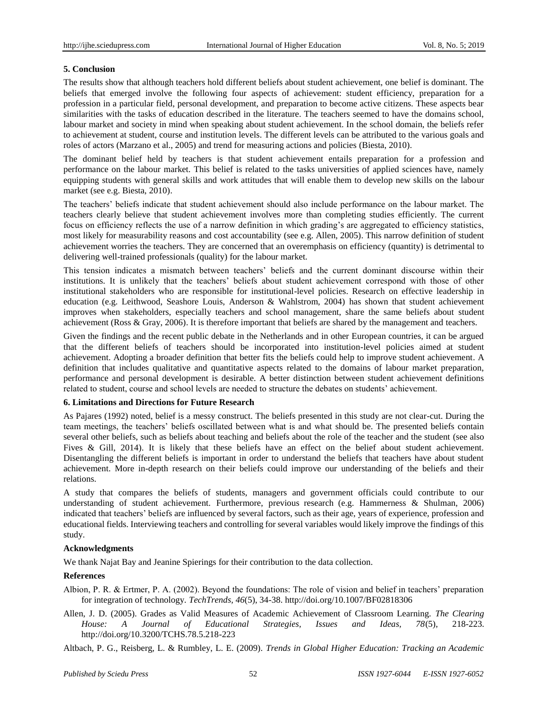# **5. Conclusion**

The results show that although teachers hold different beliefs about student achievement, one belief is dominant. The beliefs that emerged involve the following four aspects of achievement: student efficiency, preparation for a profession in a particular field, personal development, and preparation to become active citizens. These aspects bear similarities with the tasks of education described in the literature. The teachers seemed to have the domains school, labour market and society in mind when speaking about student achievement. In the school domain, the beliefs refer to achievement at student, course and institution levels. The different levels can be attributed to the various goals and roles of actors (Marzano et al., 2005) and trend for measuring actions and policies (Biesta, 2010).

The dominant belief held by teachers is that student achievement entails preparation for a profession and performance on the labour market. This belief is related to the tasks universities of applied sciences have, namely equipping students with general skills and work attitudes that will enable them to develop new skills on the labour market (see e.g. Biesta, 2010).

The teachers' beliefs indicate that student achievement should also include performance on the labour market. The teachers clearly believe that student achievement involves more than completing studies efficiently. The current focus on efficiency reflects the use of a narrow definition in which grading's are aggregated to efficiency statistics, most likely for measurability reasons and cost accountability (see e.g. Allen, 2005). This narrow definition of student achievement worries the teachers. They are concerned that an overemphasis on efficiency (quantity) is detrimental to delivering well-trained professionals (quality) for the labour market.

This tension indicates a mismatch between teachers' beliefs and the current dominant discourse within their institutions. It is unlikely that the teachers' beliefs about student achievement correspond with those of other institutional stakeholders who are responsible for institutional-level policies. Research on effective leadership in education (e.g. Leithwood, Seashore Louis, Anderson & Wahlstrom, 2004) has shown that student achievement improves when stakeholders, especially teachers and school management, share the same beliefs about student achievement (Ross & Gray, 2006). It is therefore important that beliefs are shared by the management and teachers.

Given the findings and the recent public debate in the Netherlands and in other European countries, it can be argued that the different beliefs of teachers should be incorporated into institution-level policies aimed at student achievement. Adopting a broader definition that better fits the beliefs could help to improve student achievement. A definition that includes qualitative and quantitative aspects related to the domains of labour market preparation, performance and personal development is desirable. A better distinction between student achievement definitions related to student, course and school levels are needed to structure the debates on students' achievement.

# **6. Limitations and Directions for Future Research**

As Pajares (1992) noted, belief is a messy construct. The beliefs presented in this study are not clear-cut. During the team meetings, the teachers' beliefs oscillated between what is and what should be. The presented beliefs contain several other beliefs, such as beliefs about teaching and beliefs about the role of the teacher and the student (see also Fives & Gill, 2014). It is likely that these beliefs have an effect on the belief about student achievement. Disentangling the different beliefs is important in order to understand the beliefs that teachers have about student achievement. More in-depth research on their beliefs could improve our understanding of the beliefs and their relations.

A study that compares the beliefs of students, managers and government officials could contribute to our understanding of student achievement. Furthermore, previous research (e.g. Hammerness & Shulman, 2006) indicated that teachers' beliefs are influenced by several factors, such as their age, years of experience, profession and educational fields. Interviewing teachers and controlling for several variables would likely improve the findings of this study.

# **Acknowledgments**

We thank Najat Bay and Jeanine Spierings for their contribution to the data collection.

# **References**

- Albion, P. R. & Ertmer, P. A. (2002). Beyond the foundations: The role of vision and belief in teachers' preparation for integration of technology. *TechTrends, 46*(5), 34-38. http://doi.org/10.1007/BF02818306
- Allen, J. D. (2005). Grades as Valid Measures of Academic Achievement of Classroom Learning. *The Clearing House: A Journal of Educational Strategies, Issues and Ideas, 78*(5), 218-223. http://doi.org/10.3200/TCHS.78.5.218-223

Altbach, P. G., Reisberg, L. & Rumbley, L. E. (2009). *Trends in Global Higher Education: Tracking an Academic*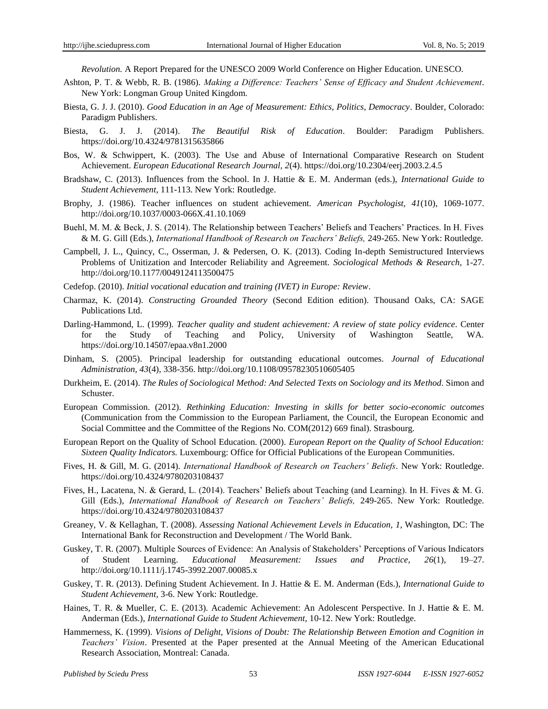*Revolution.* A Report Prepared for the UNESCO 2009 World Conference on Higher Education. UNESCO.

- Ashton, P. T. & Webb, R. B. (1986). *Making a Difference: Teachers' Sense of Efficacy and Student Achievement*. New York: Longman Group United Kingdom.
- Biesta, G. J. J. (2010). *Good Education in an Age of Measurement: Ethics, Politics, Democracy*. Boulder, Colorado: Paradigm Publishers.
- Biesta, G. J. J. (2014). *The Beautiful Risk of Education*. Boulder: Paradigm Publishers. <https://doi.org/10.4324/9781315635866>
- Bos, W. & Schwippert, K. (2003). The Use and Abuse of International Comparative Research on Student Achievement. *European Educational Research Journal, 2*(4). <https://doi.org/10.2304/eerj.2003.2.4.5>
- Bradshaw, C. (2013). Influences from the School. In J. Hattie & E. M. Anderman (eds.), *International Guide to Student Achievement,* 111-113. New York: Routledge.
- Brophy, J. (1986). Teacher influences on student achievement. *American Psychologist, 41*(10), 1069-1077. http://doi.org/10.1037/0003-066X.41.10.1069
- Buehl, M. M. & Beck, J. S. (2014). The Relationship between Teachers' Beliefs and Teachers' Practices. In H. Fives & M. G. Gill (Eds.), *International Handbook of Research on Teachers' Beliefs,* 249-265. New York: Routledge.
- Campbell, J. L., Quincy, C., Osserman, J. & Pedersen, O. K. (2013). Coding In-depth Semistructured Interviews Problems of Unitization and Intercoder Reliability and Agreement. *Sociological Methods & Research,* 1-27. http://doi.org/10.1177/0049124113500475
- Cedefop. (2010). *Initial vocational education and training (IVET) in Europe: Review*.
- Charmaz, K. (2014). *Constructing Grounded Theory* (Second Edition edition). Thousand Oaks, CA: SAGE Publications Ltd.
- Darling-Hammond, L. (1999). *Teacher quality and student achievement: A review of state policy evidence*. Center for the Study of Teaching and Policy, University of Washington Seattle, WA. <https://doi.org/10.14507/epaa.v8n1.2000>
- Dinham, S. (2005). Principal leadership for outstanding educational outcomes. *Journal of Educational Administration, 43*(4), 338-356. http://doi.org/10.1108/09578230510605405
- Durkheim, E. (2014). *The Rules of Sociological Method: And Selected Texts on Sociology and its Method*. Simon and Schuster.
- European Commission. (2012). *Rethinking Education: Investing in skills for better socio-economic outcomes* (Communication from the Commission to the European Parliament, the Council, the European Economic and Social Committee and the Committee of the Regions No. COM(2012) 669 final). Strasbourg.
- European Report on the Quality of School Education. (2000). *European Report on the Quality of School Education: Sixteen Quality Indicators.* Luxembourg: Office for Official Publications of the European Communities.
- Fives, H. & Gill, M. G. (2014). *International Handbook of Research on Teachers' Beliefs*. New York: Routledge. <https://doi.org/10.4324/9780203108437>
- Fives, H., Lacatena, N. & Gerard, L. (2014). Teachers' Beliefs about Teaching (and Learning). In H. Fives & M. G. Gill (Eds.), *International Handbook of Research on Teachers' Beliefs,* 249-265. New York: Routledge. <https://doi.org/10.4324/9780203108437>
- Greaney, V. & Kellaghan, T. (2008). *Assessing National Achievement Levels in Education, 1*, Washington, DC: The International Bank for Reconstruction and Development / The World Bank.
- Guskey, T. R. (2007). Multiple Sources of Evidence: An Analysis of Stakeholders' Perceptions of Various Indicators of Student Learning. *Educational Measurement: Issues and Practice, 26*(1), 19–27. http://doi.org/10.1111/j.1745-3992.2007.00085.x
- Guskey, T. R. (2013). Defining Student Achievement. In J. Hattie & E. M. Anderman (Eds.), *International Guide to Student Achievement,* 3-6. New York: Routledge.
- Haines, T. R. & Mueller, C. E. (2013). Academic Achievement: An Adolescent Perspective. In J. Hattie & E. M. Anderman (Eds.), *International Guide to Student Achievement,* 10-12. New York: Routledge.
- Hammerness, K. (1999). *Visions of Delight, Visions of Doubt: The Relationship Between Emotion and Cognition in Teachers' Vision*. Presented at the Paper presented at the Annual Meeting of the American Educational Research Association, Montreal: Canada.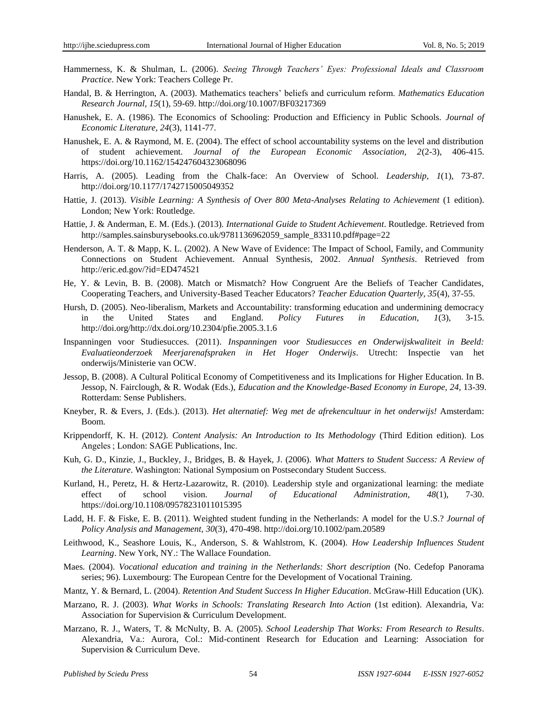- Hammerness, K. & Shulman, L. (2006). *Seeing Through Teachers' Eyes: Professional Ideals and Classroom Practice*. New York: Teachers College Pr.
- Handal, B. & Herrington, A. (2003). Mathematics teachers' beliefs and curriculum reform. *Mathematics Education Research Journal, 15*(1), 59-69. http://doi.org/10.1007/BF03217369
- Hanushek, E. A. (1986). The Economics of Schooling: Production and Efficiency in Public Schools. *Journal of Economic Literature, 24*(3), 1141-77.
- Hanushek, E. A. & Raymond, M. E. (2004). The effect of school accountability systems on the level and distribution of student achievement. *Journal of the European Economic Association, 2*(2-3), 406-415. <https://doi.org/10.1162/154247604323068096>
- Harris, A. (2005). Leading from the Chalk-face: An Overview of School. *Leadership, 1*(1), 73-87. http://doi.org/10.1177/1742715005049352
- Hattie, J. (2013). *Visible Learning: A Synthesis of Over 800 Meta-Analyses Relating to Achievement* (1 edition). London; New York: Routledge.
- Hattie, J. & Anderman, E. M. (Eds.). (2013). *International Guide to Student Achievement*. Routledge. Retrieved from http://samples.sainsburysebooks.co.uk/9781136962059\_sample\_833110.pdf#page=22
- Henderson, A. T. & Mapp, K. L. (2002). A New Wave of Evidence: The Impact of School, Family, and Community Connections on Student Achievement. Annual Synthesis, 2002. *Annual Synthesis*. Retrieved from http://eric.ed.gov/?id=ED474521
- He, Y. & Levin, B. B. (2008). Match or Mismatch? How Congruent Are the Beliefs of Teacher Candidates, Cooperating Teachers, and University-Based Teacher Educators? *Teacher Education Quarterly, 35*(4), 37-55.
- Hursh, D. (2005). Neo-liberalism, Markets and Accountability: transforming education and undermining democracy in the United States and England. *Policy Futures in Education, 1*(3), 3-15. http://doi.org/http://dx.doi.org/10.2304/pfie.2005.3.1.6
- Inspanningen voor Studiesucces. (2011). *Inspanningen voor Studiesucces en Onderwijskwaliteit in Beeld: Evaluatieonderzoek Meerjarenafspraken in Het Hoger Onderwijs*. Utrecht: Inspectie van het onderwijs/Ministerie van OCW.
- Jessop, B. (2008). A Cultural Political Economy of Competitiveness and its Implications for Higher Education. In B. Jessop, N. Fairclough, & R. Wodak (Eds.), *Education and the Knowledge-Based Economy in Europe, 24*, 13-39. Rotterdam: Sense Publishers.
- Kneyber, R. & Evers, J. (Eds.). (2013). *Het alternatief: Weg met de afrekencultuur in het onderwijs!* Amsterdam: Boom.
- Krippendorff, K. H. (2012). *Content Analysis: An Introduction to Its Methodology* (Third Edition edition). Los Angeles ; London: SAGE Publications, Inc.
- Kuh, G. D., Kinzie, J., Buckley, J., Bridges, B. & Hayek, J. (2006). *What Matters to Student Success: A Review of the Literature*. Washington: National Symposium on Postsecondary Student Success.
- Kurland, H., Peretz, H. & Hertz-Lazarowitz, R. (2010). Leadership style and organizational learning: the mediate effect of school vision. *Journal of Educational Administration, 48*(1), 7-30. <https://doi.org/10.1108/09578231011015395>
- Ladd, H. F. & Fiske, E. B. (2011). Weighted student funding in the Netherlands: A model for the U.S.? *Journal of Policy Analysis and Management, 30*(3), 470-498. http://doi.org/10.1002/pam.20589
- Leithwood, K., Seashore Louis, K., Anderson, S. & Wahlstrom, K. (2004). *How Leadership Influences Student Learning*. New York, NY.: The Wallace Foundation.
- Maes. (2004). *Vocational education and training in the Netherlands: Short description* (No. Cedefop Panorama series; 96). Luxembourg: The European Centre for the Development of Vocational Training.
- Mantz, Y. & Bernard, L. (2004). *Retention And Student Success In Higher Education*. McGraw-Hill Education (UK).
- Marzano, R. J. (2003). *What Works in Schools: Translating Research Into Action* (1st edition). Alexandria, Va: Association for Supervision & Curriculum Development.
- Marzano, R. J., Waters, T. & McNulty, B. A. (2005). *School Leadership That Works: From Research to Results*. Alexandria, Va.: Aurora, Col.: Mid-continent Research for Education and Learning: Association for Supervision & Curriculum Deve.